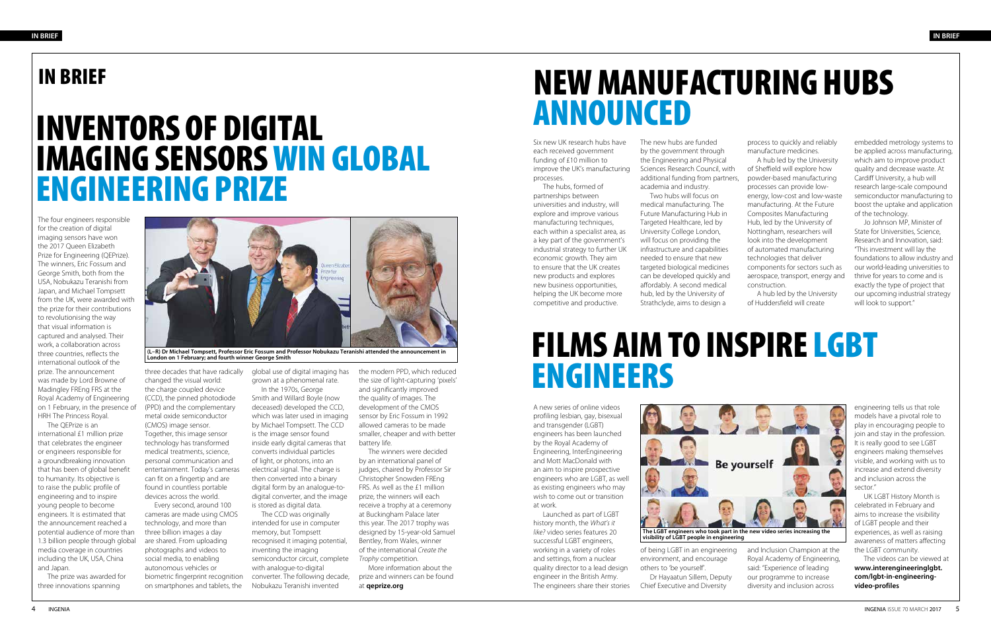### IN BRIEF

### INVENTORS OF DIGITAL IMAGING SENSORS WIN GLOBAL ENGINEERING PRIZE

### NEW MANUFACTURING HUBS ANNOUNCED

The four engineers responsible for the creation of digital imaging sensors have won the 2017 Queen Elizabeth Prize for Engineering (QEPrize). The winners, Eric Fossum and George Smith, both from the USA, Nobukazu Teranishi from Japan, and Michael Tompsett from the UK, were awarded with the prize for their contributions to revolutionising the way that visual information is captured and analysed. Their work, a collaboration across three countries, reflects the international outlook of the prize. The announcement was made by Lord Browne of Madingley FREng FRS at the Royal Academy of Engineering on 1 February, in the presence of HRH The Princess Royal.

The QEPrize is an international £1 million prize that celebrates the engineer or engineers responsible for a groundbreaking innovation that has been of global benefit to humanity. Its objective is to raise the public profile of engineering and to inspire young people to become engineers. It is estimated that the announcement reached a potential audience of more than 1.3 billion people through global media coverage in countries including the UK, USA, China and Japan.

The prize was awarded for three innovations spanning



**(L–R) Dr Michael Tompsett, Professor Eric Fossum and Professor Nobukazu Teranishi attended the announce<br>London on 1 February; and fourth winner George Smith** 

Six new UK research hubs have each received government funding of £10 million to improve the UK's manufacturing processes.

The hubs, formed of partnerships between universities and industry, will explore and improve various manufacturing techniques, each within a specialist area, as a key part of the government's industrial strategy to further UK economic growth. They aim to ensure that the UK creates new products and explores new business opportunities, helping the UK become more competitive and productive.

In the 1970s, George Smith and Willard Boyle (now deceased) developed the CCD, which was later used in imaging by Michael Tompsett. The CCD is the image sensor found inside early digital cameras that converts individual particles of light, or photons, into an electrical signal. The charge is then converted into a binary digital form by an analogue-todigital converter, and the image is stored as digital data.

three decades that have radically changed the visual world: the charge coupled device (CCD), the pinned photodiode (PPD) and the complementary metal oxide semiconductor (CMOS) image sensor. Together, this image sensor technology has transformed medical treatments, science, personal communication and entertainment. Today's cameras can fit on a fingertip and are found in countless portable devices across the world.

Every second, around 100 cameras are made using CMOS technology, and more than three billion images a day are shared. From uploading photographs and videos to social media, to enabling autonomous vehicles or biometric fingerprint recognition on smartphones and tablets, the

The new hubs are funded by the government through the Engineering and Physical Sciences Research Council, with additional funding from partners, academia and industry. Two hubs will focus on medical manufacturing. The Future Manufacturing Hub in Targeted Healthcare, led by University College London, will focus on providing the infrastructure and capabilities needed to ensure that new targeted biological medicines can be developed quickly and affordably. A second medical hub, led by the University of Strathclyde, aims to design a

global use of digital imaging has grown at a phenomenal rate.

The CCD was originally intended for use in computer memory, but Tompsett recognised it imaging potential, inventing the imaging semiconductor circuit, complete with analogue-to-digital converter. The following decade, Nobukazu Teranishi invented

process to quickly and reliably manufacture medicines.

A hub led by the University of Sheffield will explore how powder-based manufacturing processes can provide lowenergy, low-cost and low-waste manufacturing. At the Future Composites Manufacturing Hub, led by the University of Nottingham, researchers will look into the development of automated manufacturing technologies that deliver components for sectors such as aerospace, transport, energy and construction.

A hub led by the University of Huddersfield will create

the modern PPD, which reduced the size of light-capturing 'pixels' and significantly improved the quality of images. The development of the CMOS sensor by Eric Fossum in 1992 allowed cameras to be made smaller, cheaper and with better battery life.

The winners were decided by an international panel of judges, chaired by Professor Sir Christopher Snowden FREng FRS. As well as the £1 million prize, the winners will each receive a trophy at a ceremony at Buckingham Palace later this year. The 2017 trophy was designed by 15-year-old Samuel Bentley, from Wales, winner of the international *Create the Trophy* competition.

More information about the prize and winners can be found at **qeprize.org**

embedded metrology systems to be applied across manufacturing, which aim to improve product quality and decrease waste. At Cardiff University, a hub will research large-scale compound semiconductor manufacturing to boost the uptake and application of the technology.

Jo Johnson MP, Minister of State for Universities, Science, Research and Innovation, said: "This investment will lay the foundations to allow industry and our world-leading universities to thrive for years to come and is exactly the type of project that our upcoming industrial strategy will look to support."



# ENGINEERS

A new series of online videos profiling lesbian, gay, bisexual and transgender (LGBT) engineers has been launched by the Royal Academy of Engineering, InterEngineering and Mott MacDonald with an aim to inspire prospective engineers who are LGBT, as well as existing engineers who may wish to come out or transition at work.

Launched as part of LGBT history month, the *What's it like?* video series features 20 successful LGBT engineers, working in a variety of roles and settings, from a nuclear quality director to a lead design engineer in the British Army. The engineers share their stories

of being LGBT in an engineering environment, and encourage others to 'be yourself'. Dr Hayaatun Sillem, Deputy Chief Executive and Diversity

and Inclusion Champion at the Royal Academy of Engineering, said: "Experience of leading our programme to increase diversity and inclusion across

engineering tells us that role models have a pivotal role to play in encouraging people to join and stay in the profession. It is really good to see LGBT engineers making themselves visible, and working with us to increase and extend diversity and inclusion across the sector."

UK LGBT History Month is celebrated in February and aims to increase the visibility of LGBT people and their experiences, as well as raising awareness of matters affecting the LGBT community.

The videos can be viewed at **www.interengineeringlgbt. com/lgbt-in-engineeringvideo-profiles**